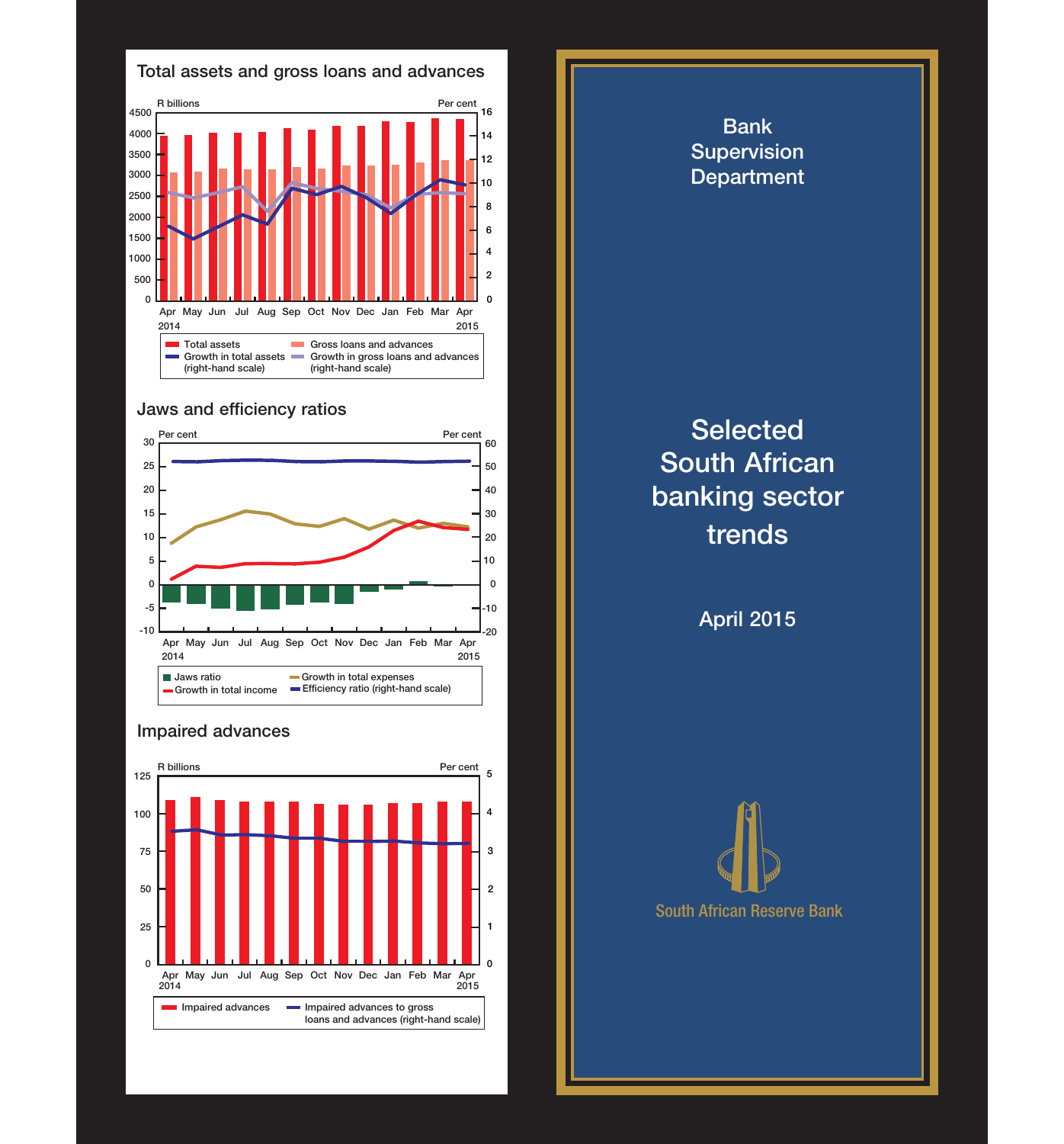

## **Jaws and efficiency ratios**





## **Impaired advances**